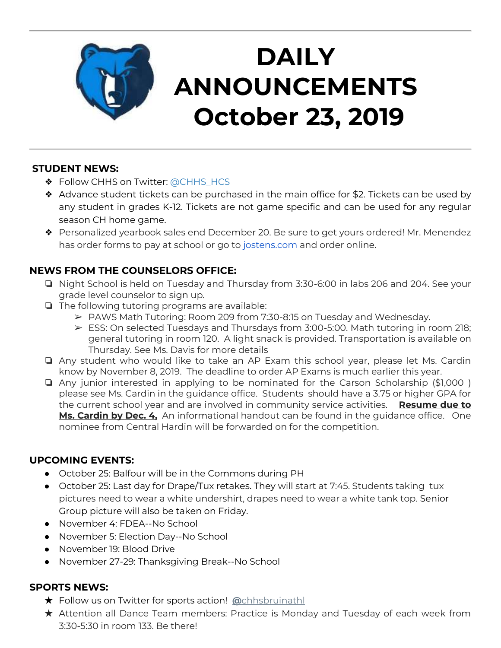

# **DAILY ANNOUNCEMENTS October 23, 2019**

### **STUDENT NEWS:**

- ❖ Follow CHHS on Twitter: [@CHHS\\_HCS](https://twitter.com/CHHS_HCS)
- ❖ Advance student tickets can be purchased in the main office for \$2. Tickets can be used by any student in grades K-12. Tickets are not game specific and can be used for any regular season CH home game.
- ❖ Personalized yearbook sales end December 20. Be sure to get yours ordered! Mr. Menendez has order forms to pay at school or go to [jostens.com](http://jostens.com/) and order online.

## **NEWS FROM THE COUNSELORS OFFICE:**

- ❏ Night School is held on Tuesday and Thursday from 3:30-6:00 in labs 206 and 204. See your grade level counselor to sign up.
- ❏ The following tutoring programs are available:
	- ➢ PAWS Math Tutoring: Room 209 from 7:30-8:15 on Tuesday and Wednesday.
	- ➢ ESS: On selected Tuesdays and Thursdays from 3:00-5:00. Math tutoring in room 218; general tutoring in room 120. A light snack is provided. Transportation is available on Thursday. See Ms. Davis for more details
- ❏ Any student who would like to take an AP Exam this school year, please let Ms. Cardin know by November 8, 2019. The deadline to order AP Exams is much earlier this year.
- ❏ Any junior interested in applying to be nominated for the Carson Scholarship (\$1,000 ) please see Ms. Cardin in the guidance office. Students should have a 3.75 or higher GPA for the current school year and are involved in community service activities. **Resume due to Ms. Cardin by Dec. 4,** An informational handout can be found in the guidance office. One nominee from Central Hardin will be forwarded on for the competition.

### **UPCOMING EVENTS:**

- October 25: Balfour will be in the Commons during PH
- October 25: Last day for Drape/Tux retakes. They will start at 7:45. Students taking tux pictures need to wear a white undershirt, drapes need to wear a white tank top. Senior Group picture will also be taken on Friday.
- November 4: FDEA--No School
- November 5: Election Day--No School
- November 19: Blood Drive
- November 27-29: Thanksgiving Break--No School

#### **SPORTS NEWS:**

- ★ Follow us on Twitter for sports action! **[@](https://twitter.com/chhsbruinathl)**[chhsbruinathl](https://twitter.com/chhsbruinathl)
- ★ Attention all Dance Team members: Practice is Monday and Tuesday of each week from 3:30-5:30 in room 133. Be there!